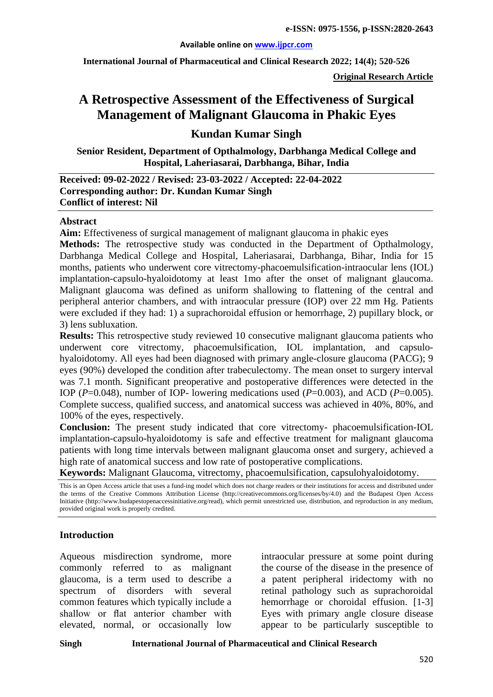#### **Available online on [www.ijpcr.com](http://www.ijpcr.com/)**

**International Journal of Pharmaceutical and Clinical Research 2022; 14(4); 520-526**

**Original Research Article**

# **A Retrospective Assessment of the Effectiveness of Surgical Management of Malignant Glaucoma in Phakic Eyes**

**Kundan Kumar Singh**

**Senior Resident, Department of Opthalmology, Darbhanga Medical College and Hospital, Laheriasarai, Darbhanga, Bihar, India**

**Received: 09-02-2022 / Revised: 23-03-2022 / Accepted: 22-04-2022 Corresponding author: Dr. Kundan Kumar Singh Conflict of interest: Nil**

#### **Abstract**

**Aim:** Effectiveness of surgical management of malignant glaucoma in phakic eyes

**Methods:** The retrospective study was conducted in the Department of Opthalmology, Darbhanga Medical College and Hospital, Laheriasarai, Darbhanga, Bihar, India for 15 months, patients who underwent core vitrectomy-phacoemulsification-intraocular lens (IOL) implantation-capsulo-hyaloidotomy at least 1mo after the onset of malignant glaucoma. Malignant glaucoma was defined as uniform shallowing to flattening of the central and peripheral anterior chambers, and with intraocular pressure (IOP) over 22 mm Hg. Patients were excluded if they had: 1) a suprachoroidal effusion or hemorrhage, 2) pupillary block, or 3) lens subluxation.

**Results:** This retrospective study reviewed 10 consecutive malignant glaucoma patients who underwent core vitrectomy, phacoemulsification, IOL implantation, and capsulohyaloidotomy. All eyes had been diagnosed with primary angle-closure glaucoma (PACG); 9 eyes (90%) developed the condition after trabeculectomy. The mean onset to surgery interval was 7.1 month. Significant preoperative and postoperative differences were detected in the IOP ( $P=0.048$ ), number of IOP- lowering medications used ( $P=0.003$ ), and ACD ( $P=0.005$ ). Complete success, qualified success, and anatomical success was achieved in 40%, 80%, and 100% of the eyes, respectively.

**Conclusion:** The present study indicated that core vitrectomy- phacoemulsification-IOL implantation-capsulo-hyaloidotomy is safe and effective treatment for malignant glaucoma patients with long time intervals between malignant glaucoma onset and surgery, achieved a high rate of anatomical success and low rate of postoperative complications.

**Keywords:** Malignant Glaucoma, vitrectomy, phacoemulsification, capsulohyaloidotomy.

This is an Open Access article that uses a fund-ing model which does not charge readers or their institutions for access and distributed under the terms of the Creative Commons Attribution License (http://creativecommons.org/licenses/by/4.0) and the Budapest Open Access Initiative (http://www.budapestopenaccessinitiative.org/read), which permit unrestricted use, distribution, and reproduction in any medium, provided original work is properly credited.

#### **Introduction**

Aqueous misdirection syndrome, more commonly referred to as malignant glaucoma, is a term used to describe a spectrum of disorders with several common features which typically include a shallow or flat anterior chamber with elevated, normal, or occasionally low

intraocular pressure at some point during the course of the disease in the presence of a patent peripheral iridectomy with no retinal pathology such as suprachoroidal hemorrhage or choroidal effusion. [1-3] Eyes with primary angle closure disease appear to be particularly susceptible to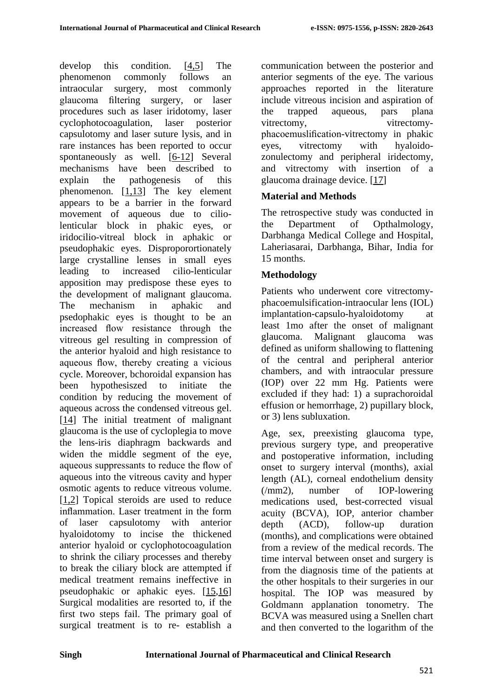develop this condition. [4[,5\]](#page-5-0) The phenomenon commonly follows an intraocular surgery, most commonly glaucoma filtering surgery, or laser procedures such as laser iridotomy, laser cyclophotocoagulation, laser posterior capsulotomy and laser suture lysis, and in rare instances has been reported to occur spontaneously as well. [\[6-12\]](#page-5-1) Several mechanisms have been described to explain the pathogenesis of this phenomenon.  $[1,13]$  The key element appears to be a barrier in the forward movement of aqueous due to ciliolenticular block in phakic eyes, or iridocilio-vitreal block in aphakic or pseudophakic eyes. Disproporortionately large crystalline lenses in small eyes leading to increased cilio-lenticular apposition may predispose these eyes to the development of malignant glaucoma. The mechanism in aphakic and psedophakic eyes is thought to be an increased flow resistance through the vitreous gel resulting in compression of the anterior hyaloid and high resistance to aqueous flow, thereby creating a vicious cycle. Moreover, bchoroidal expansion has been hypothesiszed to initiate the condition by reducing the movement of aqueous across the condensed vitreous gel. [\[14\]](#page-6-1) The initial treatment of malignant glaucoma is the use of cycloplegia to move the lens-iris diaphragm backwards and widen the middle segment of the eye, aqueous suppressants to reduce the flow of aqueous into the vitreous cavity and hyper osmotic agents to reduce vitreous volume. [1,2] Topical steroids are used to reduce inflammation. Laser treatment in the form of laser capsulotomy with anterior hyaloidotomy to incise the thickened anterior hyaloid or cyclophotocoagulation to shrink the ciliary processes and thereby to break the ciliary block are attempted if medical treatment remains ineffective in pseudophakic or aphakic eyes. [\[15](#page-6-2)[,16\]](#page-6-3) Surgical modalities are resorted to, if the first two steps fail. The primary goal of surgical treatment is to re- establish a

communication between the posterior and anterior segments of the eye. The various approaches reported in the literature include vitreous incision and aspiration of the trapped aqueous, pars plana vitrectomy, vitrectomyphacoemuslification-vitrectomy in phakic eyes, vitrectomy with hyaloidozonulectomy and peripheral iridectomy, and vitrectomy with insertion of a glaucoma drainage device. [\[17\]](#page-6-4)

# **Material and Methods**

The retrospective study was conducted in the Department of Opthalmology, Darbhanga Medical College and Hospital, Laheriasarai, Darbhanga, Bihar, India for 15 months.

# **Methodology**

Patients who underwent core vitrectomyphacoemulsification-intraocular lens (IOL) implantation-capsulo-hyaloidotomy at least 1mo after the onset of malignant glaucoma. Malignant glaucoma was defined as uniform shallowing to flattening of the central and peripheral anterior chambers, and with intraocular pressure (IOP) over 22 mm Hg. Patients were excluded if they had: 1) a suprachoroidal effusion or hemorrhage, 2) pupillary block, or 3) lens subluxation.

Age, sex, preexisting glaucoma type, previous surgery type, and preoperative and postoperative information, including onset to surgery interval (months), axial length (AL), corneal endothelium density (/mm2), number of IOP-lowering medications used, best-corrected visual acuity (BCVA), IOP, anterior chamber depth (ACD), follow-up duration (months), and complications were obtained from a review of the medical records. The time interval between onset and surgery is from the diagnosis time of the patients at the other hospitals to their surgeries in our hospital. The IOP was measured by Goldmann applanation tonometry. The BCVA was measured using a Snellen chart and then converted to the logarithm of the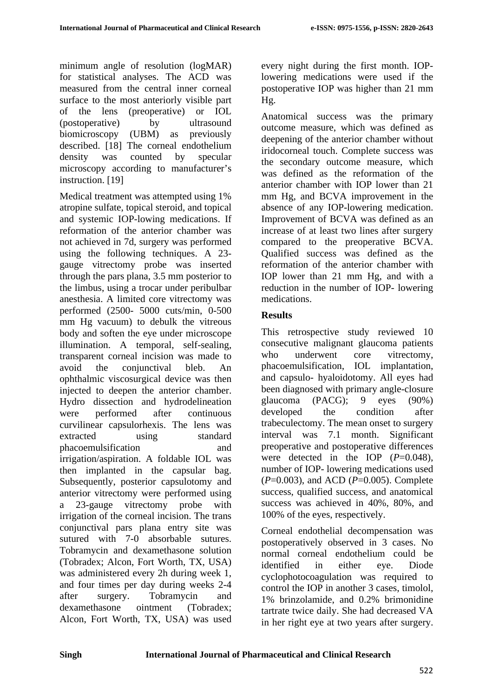minimum angle of resolution (logMAR) for statistical analyses. The ACD was measured from the central inner corneal surface to the most anteriorly visible part of the lens (preoperative) or IOL (postoperative) by ultrasound biomicroscopy (UBM) as previously described. [18] The corneal endothelium density was counted by specular microscopy according to manufacturer's instruction. [19]

Medical treatment was attempted using 1% atropine sulfate, topical steroid, and topical and systemic IOP-lowing medications. If reformation of the anterior chamber was not achieved in 7d, surgery was performed using the following techniques. A 23 gauge vitrectomy probe was inserted through the pars plana, 3.5 mm posterior to the limbus, using a trocar under peribulbar anesthesia. A limited core vitrectomy was performed (2500- 5000 cuts/min, 0-500 mm Hg vacuum) to debulk the vitreous body and soften the eye under microscope illumination. A temporal, self-sealing, transparent corneal incision was made to avoid the conjunctival bleb. An ophthalmic viscosurgical device was then injected to deepen the anterior chamber. Hydro dissection and hydrodelineation were performed after continuous curvilinear capsulorhexis. The lens was extracted using standard phacoemulsification and irrigation/aspiration. A foldable IOL was then implanted in the capsular bag. Subsequently, posterior capsulotomy and anterior vitrectomy were performed using a 23-gauge vitrectomy probe with irrigation of the corneal incision. The trans conjunctival pars plana entry site was sutured with 7-0 absorbable sutures. Tobramycin and dexamethasone solution (Tobradex; Alcon, Fort Worth, TX, USA) was administered every 2h during week 1, and four times per day during weeks 2-4 after surgery. Tobramycin and dexamethasone ointment (Tobradex; Alcon, Fort Worth, TX, USA) was used

every night during the first month. IOPlowering medications were used if the postoperative IOP was higher than 21 mm Hg.

Anatomical success was the primary outcome measure, which was defined as deepening of the anterior chamber without iridocorneal touch. Complete success was the secondary outcome measure, which was defined as the reformation of the anterior chamber with IOP lower than 21 mm Hg, and BCVA improvement in the absence of any IOP-lowering medication. Improvement of BCVA was defined as an increase of at least two lines after surgery compared to the preoperative BCVA. Qualified success was defined as the reformation of the anterior chamber with IOP lower than 21 mm Hg, and with a reduction in the number of IOP- lowering medications.

# **Results**

This retrospective study reviewed 10 consecutive malignant glaucoma patients who underwent core vitrectomy, phacoemulsification, IOL implantation, and capsulo- hyaloidotomy. All eyes had been diagnosed with primary angle-closure glaucoma (PACG); 9 eyes (90%) developed the condition after trabeculectomy. The mean onset to surgery interval was 7.1 month. Significant preoperative and postoperative differences were detected in the IOP  $(P=0.048)$ . number of IOP- lowering medications used (*P*=0.003), and ACD (*P*=0.005). Complete success, qualified success, and anatomical success was achieved in 40%, 80%, and 100% of the eyes, respectively.

Corneal endothelial decompensation was postoperatively observed in 3 cases. No normal corneal endothelium could be identified in either eye. Diode cyclophotocoagulation was required to control the IOP in another 3 cases, timolol, 1% brinzolamide, and 0.2% brimonidine tartrate twice daily. She had decreased VA in her right eye at two years after surgery.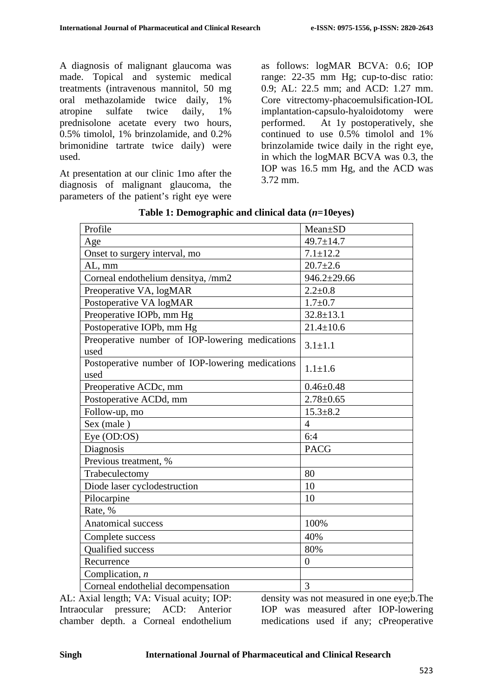A diagnosis of malignant glaucoma was made. Topical and systemic medical treatments (intravenous mannitol, 50 mg oral methazolamide twice daily, 1% atropine sulfate twice daily, 1% prednisolone acetate every two hours, 0.5% timolol, 1% brinzolamide, and 0.2% brimonidine tartrate twice daily) were used.

At presentation at our clinic 1mo after the diagnosis of malignant glaucoma, the parameters of the patient's right eye were as follows: logMAR BCVA: 0.6; IOP range: 22-35 mm Hg; cup-to-disc ratio: 0.9; AL: 22.5 mm; and ACD: 1.27 mm. Core vitrectomy-phacoemulsification-IOL implantation-capsulo-hyaloidotomy were performed. At 1y postoperatively, she continued to use 0.5% timolol and 1% brinzolamide twice daily in the right eye, in which the logMAR BCVA was 0.3, the IOP was 16.5 mm Hg, and the ACD was 3.72 mm.

| Mean±SD           |
|-------------------|
| $49.7 \pm 14.7$   |
| $7.1 \pm 12.2$    |
| $20.7 \pm 2.6$    |
| $946.2 \pm 29.66$ |
| $2.2 \pm 0.8$     |
| $1.7 + 0.7$       |
| $32.8 \pm 13.1$   |
| $21.4 \pm 10.6$   |
| $3.1 \pm 1.1$     |
| $1.1 \pm 1.6$     |
| $0.46 \pm 0.48$   |
| $2.78 \pm 0.65$   |
| $15.3 \pm 8.2$    |
| $\overline{4}$    |
| 6:4               |
| <b>PACG</b>       |
|                   |
| 80                |
| 10                |
| 10                |
|                   |
| 100%              |
| 40%               |
| 80%               |
| $\theta$          |
|                   |
| 3                 |
|                   |

**Table 1: Demographic and clinical data (***n***=10eyes)**

AL: Axial length; VA: Visual acuity; IOP: Intraocular pressure; ACD: Anterior chamber depth. a Corneal endothelium

density was not measured in one eye;b.The IOP was measured after IOP-lowering medications used if any; cPreoperative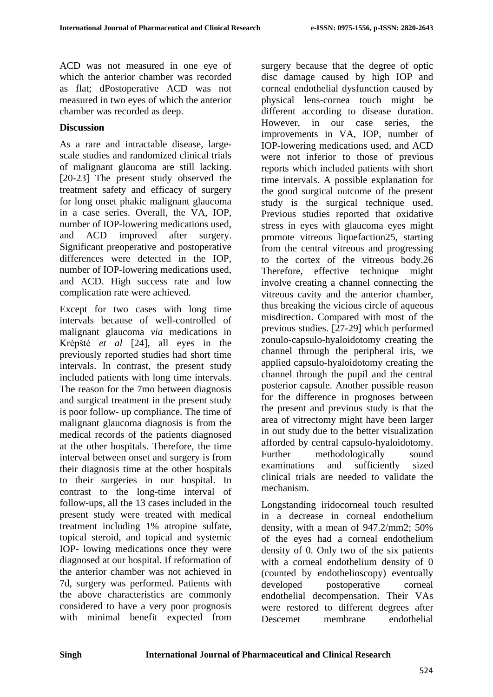ACD was not measured in one eye of which the anterior chamber was recorded as flat; dPostoperative ACD was not measured in two eyes of which the anterior chamber was recorded as deep.

### **Discussion**

As a rare and intractable disease, largescale studies and randomized clinical trials of malignant glaucoma are still lacking. [20-23] The present study observed the treatment safety and efficacy of surgery for long onset phakic malignant glaucoma in a case series. Overall, the VA, IOP, number of IOP-lowering medications used, and ACD improved after surgery. Significant preoperative and postoperative differences were detected in the IOP, number of IOP-lowering medications used, and ACD. High success rate and low complication rate were achieved.

Except for two cases with long time intervals because of well-controlled of malignant glaucoma *via* medications in Krėpštė *et al* [24], all eyes in the previously reported studies had short time intervals. In contrast, the present study included patients with long time intervals. The reason for the 7mo between diagnosis and surgical treatment in the present study is poor follow- up compliance. The time of malignant glaucoma diagnosis is from the medical records of the patients diagnosed at the other hospitals. Therefore, the time interval between onset and surgery is from their diagnosis time at the other hospitals to their surgeries in our hospital. In contrast to the long-time interval of follow-ups, all the 13 cases included in the present study were treated with medical treatment including 1% atropine sulfate, topical steroid, and topical and systemic IOP- lowing medications once they were diagnosed at our hospital. If reformation of the anterior chamber was not achieved in 7d, surgery was performed. Patients with the above characteristics are commonly considered to have a very poor prognosis with minimal benefit expected from

surgery because that the degree of optic disc damage caused by high IOP and corneal endothelial dysfunction caused by physical lens-cornea touch might be different according to disease duration. However, in our case series, the improvements in VA, IOP, number of IOP-lowering medications used, and ACD were not inferior to those of previous reports which included patients with short time intervals. A possible explanation for the good surgical outcome of the present study is the surgical technique used. Previous studies reported that oxidative stress in eyes with glaucoma eyes might promote vitreous liquefaction25, starting from the central vitreous and progressing to the cortex of the vitreous body.26 Therefore, effective technique might involve creating a channel connecting the vitreous cavity and the anterior chamber, thus breaking the vicious circle of aqueous misdirection. Compared with most of the previous studies. [27-29] which performed zonulo-capsulo-hyaloidotomy creating the channel through the peripheral iris, we applied capsulo-hyaloidotomy creating the channel through the pupil and the central posterior capsule. Another possible reason for the difference in prognoses between the present and previous study is that the area of vitrectomy might have been larger in out study due to the better visualization afforded by central capsulo-hyaloidotomy. Further methodologically sound examinations and sufficiently sized clinical trials are needed to validate the mechanism.

Longstanding iridocorneal touch resulted in a decrease in corneal endothelium density, with a mean of 947.2/mm2; 50% of the eyes had a corneal endothelium density of 0. Only two of the six patients with a corneal endothelium density of 0 (counted by endothelioscopy) eventually developed postoperative corneal endothelial decompensation. Their VAs were restored to different degrees after Descemet membrane endothelial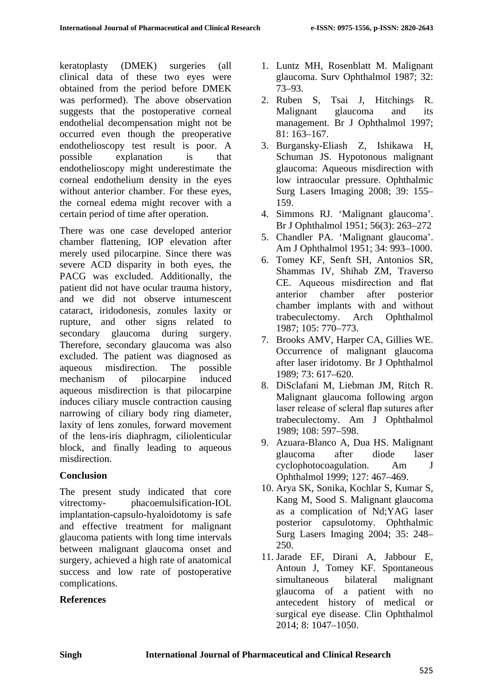keratoplasty (DMEK) surgeries (all clinical data of these two eyes were obtained from the period before DMEK was performed). The above observation suggests that the postoperative corneal endothelial decompensation might not be occurred even though the preoperative endothelioscopy test result is poor. A possible explanation is that endothelioscopy might underestimate the corneal endothelium density in the eyes without anterior chamber. For these eyes, the corneal edema might recover with a certain period of time after operation.

There was one case developed anterior chamber flattening, IOP elevation after merely used pilocarpine. Since there was severe ACD disparity in both eyes, the PACG was excluded. Additionally, the patient did not have ocular trauma history, and we did not observe intumescent cataract, iridodonesis, zonules laxity or rupture, and other signs related to secondary glaucoma during surgery. Therefore, secondary glaucoma was also excluded. The patient was diagnosed as aqueous misdirection. The possible mechanism of pilocarpine induced aqueous misdirection is that pilocarpine induces ciliary muscle contraction causing narrowing of ciliary body ring diameter, laxity of lens zonules, forward movement of the lens-iris diaphragm, ciliolenticular block, and finally leading to aqueous misdirection.

## **Conclusion**

The present study indicated that core vitrectomy- phacoemulsification-IOL implantation-capsulo-hyaloidotomy is safe and effective treatment for malignant glaucoma patients with long time intervals between malignant glaucoma onset and surgery, achieved a high rate of anatomical success and low rate of postoperative complications.

## **References**

- 1. Luntz MH, Rosenblatt M. Malignant glaucoma. Surv Ophthalmol 1987; 32: 73–93.
- 2. Ruben S, Tsai J, Hitchings R. Malignant glaucoma and its management. Br J Ophthalmol 1997; 81: 163–167.
- 3. Burgansky-Eliash Z, Ishikawa H, Schuman JS. Hypotonous malignant glaucoma: Aqueous misdirection with low intraocular pressure. Ophthalmic Surg Lasers Imaging 2008; 39: 155– 159.
- 4. Simmons RJ. 'Malignant glaucoma'. Br J Ophthalmol 1951; 56(3): 263–272
- <span id="page-5-0"></span>5. Chandler PA. 'Malignant glaucoma'. Am J Ophthalmol 1951; 34: 993–1000.
- <span id="page-5-1"></span>6. Tomey KF, Senft SH, Antonios SR, Shammas IV, Shihab ZM, Traverso CE. Aqueous misdirection and flat anterior chamber after posterior chamber implants with and without trabeculectomy. Arch Ophthalmol 1987; 105: 770–773.
- 7. Brooks AMV, Harper CA, Gillies WE. Occurrence of malignant glaucoma after laser iridotomy. Br J Ophthalmol 1989; 73: 617–620.
- 8. DiSclafani M, Liebman JM, Ritch R. Malignant glaucoma following argon laser release of scleral flap sutures after trabeculectomy. Am J Ophthalmol 1989; 108: 597–598.
- 9. Azuara-Blanco A, Dua HS. Malignant glaucoma after diode laser cyclophotocoagulation. Am J Ophthalmol 1999; 127: 467–469.
- 10. Arya SK, Sonika, Kochlar S, Kumar S, Kang M, Sood S. Malignant glaucoma as a complication of Nd;YAG laser posterior capsulotomy. Ophthalmic Surg Lasers Imaging 2004; 35: 248– 250.
- 11. Jarade EF, Dirani A, Jabbour E, Antoun J, Tomey KF. Spontaneous simultaneous bilateral malignant glaucoma of a patient with no antecedent history of medical or surgical eye disease. Clin Ophthalmol 2014; 8: 1047–1050.